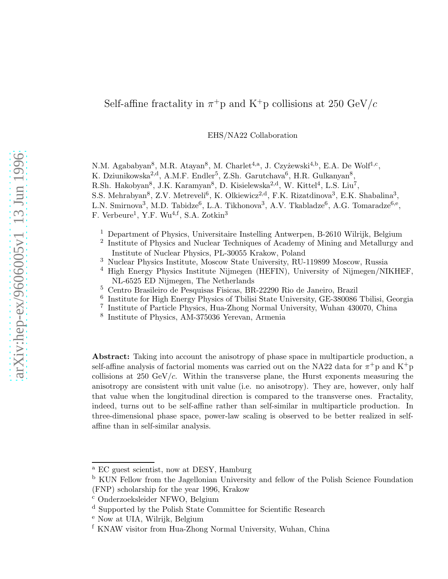# Self-affine fractality in  $\pi^+$ p and K<sup>+</sup>p collisions at 250 GeV/c

EHS/NA22 Collaboration

N.M. Agababyan<sup>8</sup>, M.R. Atayan<sup>8</sup>, M. Charlet<sup>4,a</sup>, J. Czyżewski<sup>4,b</sup>, E.A. De Wolf<sup>1,c</sup>, K. Dziunikowska<sup>2,d</sup>, A.M.F. Endler<sup>5</sup>, Z.Sh. Garutchava<sup>6</sup>, H.R. Gulkanyan<sup>8</sup>, R.Sh. Hakobyan<sup>8</sup>, J.K. Karamyan<sup>8</sup>, D. Kisielewska<sup>2,d</sup>, W. Kittel<sup>4</sup>, L.S. Liu<sup>7</sup>, S.S. Mehrabyan<sup>8</sup>, Z.V. Metreveli<sup>6</sup>, K. Olkiewicz<sup>2,d</sup>, F.K. Rizatdinova<sup>3</sup>, E.K. Shabalina<sup>3</sup>, L.N. Smirnova<sup>3</sup>, M.D. Tabidze<sup>6</sup>, L.A. Tikhonova<sup>3</sup>, A.V. Tkabladze<sup>6</sup>, A.G. Tomaradze<sup>6,e</sup>, F. Verbeure<sup>1</sup>, Y.F. Wu<sup>4,f</sup>, S.A. Zotkin<sup>3</sup>

- <sup>1</sup> Department of Physics, Universitaire Instelling Antwerpen, B-2610 Wilrijk, Belgium
- <sup>2</sup> Institute of Physics and Nuclear Techniques of Academy of Mining and Metallurgy and Institute of Nuclear Physics, PL-30055 Krakow, Poland
- <sup>3</sup> Nuclear Physics Institute, Moscow State University, RU-119899 Moscow, Russia
- <sup>4</sup> High Energy Physics Institute Nijmegen (HEFIN), University of Nijmegen/NIKHEF, NL-6525 ED Nijmegen, The Netherlands
- <sup>5</sup> Centro Brasileiro de Pesquisas Fisicas, BR-22290 Rio de Janeiro, Brazil
- 6 Institute for High Energy Physics of Tbilisi State University, GE-380086 Tbilisi, Georgia
- 7 Institute of Particle Physics, Hua-Zhong Normal University, Wuhan 430070, China
- 8 Institute of Physics, AM-375036 Yerevan, Armenia

Abstract: Taking into account the anisotropy of phase space in multiparticle production, a self-affine analysis of factorial moments was carried out on the NA22 data for  $\pi^+$ p and K<sup>+</sup>p collisions at 250 GeV/ $c$ . Within the transverse plane, the Hurst exponents measuring the anisotropy are consistent with unit value (i.e. no anisotropy). They are, however, only half that value when the longitudinal direction is compared to the transverse ones. Fractality, indeed, turns out to be self-affine rather than self-similar in multiparticle production. In three-dimensional phase space, power-law scaling is observed to be better realized in selfaffine than in self-similar analysis.

<sup>a</sup> EC guest scientist, now at DESY, Hamburg

<sup>b</sup> KUN Fellow from the Jagellonian University and fellow of the Polish Science Foundation (FNP) scholarship for the year 1996, Krakow

<sup>c</sup> Onderzoeksleider NFWO, Belgium

<sup>d</sup> Supported by the Polish State Committee for Scientific Research

<sup>e</sup> Now at UIA, Wilrijk, Belgium

<sup>f</sup> KNAW visitor from Hua-Zhong Normal University, Wuhan, China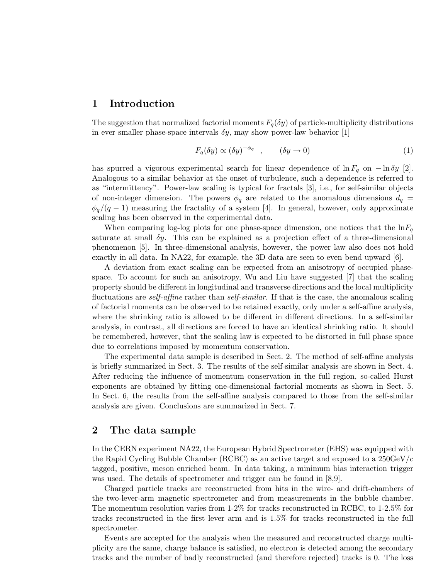# 1 Introduction

The suggestion that normalized factorial moments  $F_q(\delta y)$  of particle-multiplicity distributions in ever smaller phase-space intervals  $\delta y$ , may show power-law behavior [1]

$$
F_q(\delta y) \propto (\delta y)^{-\phi_q} \quad , \qquad (\delta y \to 0) \tag{1}
$$

has spurred a vigorous experimental search for linear dependence of  $\ln F_q$  on  $-\ln \delta y$  [2]. Analogous to a similar behavior at the onset of turbulence, such a dependence is referred to as "intermittency". Power-law scaling is typical for fractals [3], i.e., for self-similar objects of non-integer dimension. The powers  $\phi_q$  are related to the anomalous dimensions  $d_q =$  $\phi_q/(q-1)$  measuring the fractality of a system [4]. In general, however, only approximate scaling has been observed in the experimental data.

When comparing log-log plots for one phase-space dimension, one notices that the  $\ln F_q$ saturate at small  $\delta y$ . This can be explained as a projection effect of a three-dimensional phenomenon [5]. In three-dimensional analysis, however, the power law also does not hold exactly in all data. In NA22, for example, the 3D data are seen to even bend upward [6].

A deviation from exact scaling can be expected from an anisotropy of occupied phasespace. To account for such an anisotropy, Wu and Liu have suggested [7] that the scaling property should be different in longitudinal and transverse directions and the local multiplicity fluctuations are *self-affine* rather than *self-similar*. If that is the case, the anomalous scaling of factorial moments can be observed to be retained exactly, only under a self-affine analysis, where the shrinking ratio is allowed to be different in different directions. In a self-similar analysis, in contrast, all directions are forced to have an identical shrinking ratio. It should be remembered, however, that the scaling law is expected to be distorted in full phase space due to correlations imposed by momentum conservation.

The experimental data sample is described in Sect. 2. The method of self-affine analysis is briefly summarized in Sect. 3. The results of the self-similar analysis are shown in Sect. 4. After reducing the influence of momentum conservation in the full region, so-called Hurst exponents are obtained by fitting one-dimensional factorial moments as shown in Sect. 5. In Sect. 6, the results from the self-affine analysis compared to those from the self-similar analysis are given. Conclusions are summarized in Sect. 7.

## 2 The data sample

In the CERN experiment NA22, the European Hybrid Spectrometer (EHS) was equipped with the Rapid Cycling Bubble Chamber (RCBC) as an active target and exposed to a  $250 \text{GeV}/c$ tagged, positive, meson enriched beam. In data taking, a minimum bias interaction trigger was used. The details of spectrometer and trigger can be found in [8,9].

Charged particle tracks are reconstructed from hits in the wire- and drift-chambers of the two-lever-arm magnetic spectrometer and from measurements in the bubble chamber. The momentum resolution varies from 1-2% for tracks reconstructed in RCBC, to 1-2.5% for tracks reconstructed in the first lever arm and is 1.5% for tracks reconstructed in the full spectrometer.

Events are accepted for the analysis when the measured and reconstructed charge multiplicity are the same, charge balance is satisfied, no electron is detected among the secondary tracks and the number of badly reconstructed (and therefore rejected) tracks is 0. The loss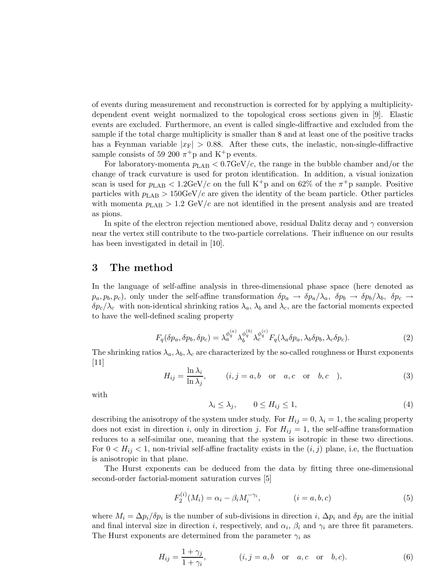of events during measurement and reconstruction is corrected for by applying a multiplicitydependent event weight normalized to the topological cross sections given in [9]. Elastic events are excluded. Furthermore, an event is called single-diffractive and excluded from the sample if the total charge multiplicity is smaller than 8 and at least one of the positive tracks has a Feynman variable  $|x_F| > 0.88$ . After these cuts, the inelastic, non-single-diffractive sample consists of 59 200  $\pi$ <sup>+</sup>p and K<sup>+</sup>p events.

For laboratory-momenta  $p_{LAB} < 0.7 \text{GeV}/c$ , the range in the bubble chamber and/or the change of track curvature is used for proton identification. In addition, a visual ionization scan is used for  $p_{\text{LAB}} < 1.2 \text{GeV}/c$  on the full K<sup>+</sup>p and on 62% of the  $\pi$ <sup>+</sup>p sample. Positive particles with  $p_{\text{LAB}} > 150 \text{GeV}/c$  are given the identity of the beam particle. Other particles with momenta  $p_{\rm LAB} > 1.2 \text{ GeV}/c$  are not identified in the present analysis and are treated as pions.

In spite of the electron rejection mentioned above, residual Dalitz decay and  $\gamma$  conversion near the vertex still contribute to the two-particle correlations. Their influence on our results has been investigated in detail in [10].

## 3 The method

In the language of self-affine analysis in three-dimensional phase space (here denoted as  $p_a, p_b, p_c$ , only under the self-affine transformation  $\delta p_a \to \delta p_a/\lambda_a$ ,  $\delta p_b \to \delta p_b/\lambda_b$ ,  $\delta p_c \to$  $\delta p_c/\lambda_c$  with non-identical shrinking ratios  $\lambda_a$ ,  $\lambda_b$  and  $\lambda_c$ , are the factorial moments expected to have the well-defined scaling property

$$
F_q(\delta p_a, \delta p_b, \delta p_c) = \lambda_a^{\phi_q^{(a)}} \lambda_b^{\phi_q^{(b)}} \lambda_c^{\phi_q^{(c)}} F_q(\lambda_a \delta p_a, \lambda_b \delta p_b, \lambda_c \delta p_c). \tag{2}
$$

The shrinking ratios  $\lambda_a, \lambda_b, \lambda_c$  are characterized by the so-called roughness or Hurst exponents [11]

$$
H_{ij} = \frac{\ln \lambda_i}{\ln \lambda_j}, \qquad (i, j = a, b \quad \text{or} \quad a, c \quad \text{or} \quad b, c \quad ), \tag{3}
$$

with

$$
\lambda_i \le \lambda_j, \qquad 0 \le H_{ij} \le 1,\tag{4}
$$

describing the anisotropy of the system under study. For  $H_{ij} = 0$ ,  $\lambda_i = 1$ , the scaling property does not exist in direction i, only in direction j. For  $H_{ij} = 1$ , the self-affine transformation reduces to a self-similar one, meaning that the system is isotropic in these two directions. For  $0 < H_{ij} < 1$ , non-trivial self-affine fractality exists in the  $(i, j)$  plane, i.e, the fluctuation is anisotropic in that plane.

The Hurst exponents can be deduced from the data by fitting three one-dimensional second-order factorial-moment saturation curves [5]

$$
F_2^{(i)}(M_i) = \alpha_i - \beta_i M_i^{-\gamma_i}, \qquad (i = a, b, c)
$$
 (5)

where  $M_i = \Delta p_i / \delta p_i$  is the number of sub-divisions in direction i,  $\Delta p_i$  and  $\delta p_i$  are the initial and final interval size in direction *i*, respectively, and  $\alpha_i$ ,  $\beta_i$  and  $\gamma_i$  are three fit parameters. The Hurst exponents are determined from the parameter  $\gamma_i$  as

$$
H_{ij} = \frac{1 + \gamma_j}{1 + \gamma_i}, \qquad (i, j = a, b \text{ or } a, c \text{ or } b, c).
$$
 (6)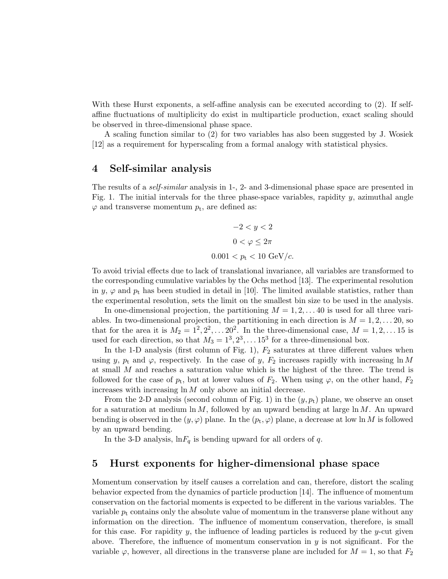With these Hurst exponents, a self-affine analysis can be executed according to (2). If selfaffine fluctuations of multiplicity do exist in multiparticle production, exact scaling should be observed in three-dimensional phase space.

A scaling function similar to (2) for two variables has also been suggested by J. Wosiek [12] as a requirement for hyperscaling from a formal analogy with statistical physics.

# 4 Self-similar analysis

The results of a self-similar analysis in 1-, 2- and 3-dimensional phase space are presented in Fig. 1. The initial intervals for the three phase-space variables, rapidity  $y$ , azimuthal angle  $\varphi$  and transverse momentum  $p_t$ , are defined as:

$$
-2 < y < 2
$$
\n
$$
0 < \varphi \le 2\pi
$$
\n
$$
0.001 < p_t < 10 \text{ GeV}/c.
$$

To avoid trivial effects due to lack of translational invariance, all variables are transformed to the corresponding cumulative variables by the Ochs method [13]. The experimental resolution in y,  $\varphi$  and  $p_t$  has been studied in detail in [10]. The limited available statistics, rather than the experimental resolution, sets the limit on the smallest bin size to be used in the analysis.

In one-dimensional projection, the partitioning  $M = 1, 2, \ldots, 40$  is used for all three variables. In two-dimensional projection, the partitioning in each direction is  $M = 1, 2, \ldots, 20$ , so that for the area it is  $M_2 = 1^2, 2^2, \ldots, 20^2$ . In the three-dimensional case,  $M = 1, 2, \ldots, 15$  is used for each direction, so that  $M_3 = 1^3, 2^3, \ldots 15^3$  for a three-dimensional box.

In the 1-D analysis (first column of Fig. 1),  $F_2$  saturates at three different values when using y,  $p_t$  and  $\varphi$ , respectively. In the case of y,  $F_2$  increases rapidly with increasing ln M at small M and reaches a saturation value which is the highest of the three. The trend is followed for the case of  $p_t$ , but at lower values of  $F_2$ . When using  $\varphi$ , on the other hand,  $F_2$ increases with increasing  $\ln M$  only above an initial decrease.

From the 2-D analysis (second column of Fig. 1) in the  $(y, p_t)$  plane, we observe an onset for a saturation at medium  $\ln M$ , followed by an upward bending at large  $\ln M$ . An upward bending is observed in the  $(y, \varphi)$  plane. In the  $(p_t, \varphi)$  plane, a decrease at low ln M is followed by an upward bending.

In the 3-D analysis,  $\ln F_q$  is bending upward for all orders of q.

## 5 Hurst exponents for higher-dimensional phase space

Momentum conservation by itself causes a correlation and can, therefore, distort the scaling behavior expected from the dynamics of particle production [14]. The influence of momentum conservation on the factorial moments is expected to be different in the various variables. The variable  $p_t$  contains only the absolute value of momentum in the transverse plane without any information on the direction. The influence of momentum conservation, therefore, is small for this case. For rapidity  $y$ , the influence of leading particles is reduced by the y-cut given above. Therefore, the influence of momentum conservation in  $y$  is not significant. For the variable  $\varphi$ , however, all directions in the transverse plane are included for  $M = 1$ , so that  $F_2$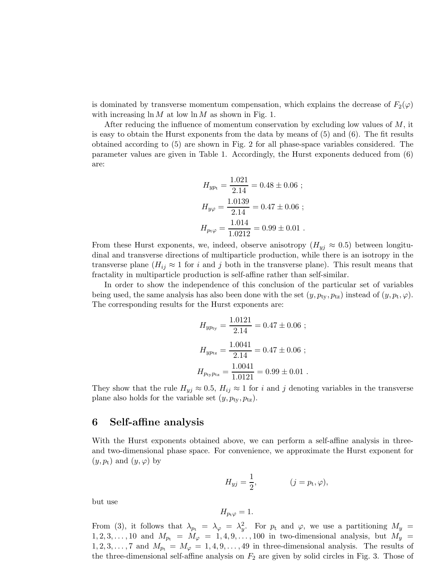is dominated by transverse momentum compensation, which explains the decrease of  $F_2(\varphi)$ with increasing  $\ln M$  at low  $\ln M$  as shown in Fig. 1.

After reducing the influence of momentum conservation by excluding low values of  $M$ , it is easy to obtain the Hurst exponents from the data by means of (5) and (6). The fit results obtained according to (5) are shown in Fig. 2 for all phase-space variables considered. The parameter values are given in Table 1. Accordingly, the Hurst exponents deduced from (6) are:

$$
H_{yp\text{t}} = \frac{1.021}{2.14} = 0.48 \pm 0.06 ;
$$
  
\n
$$
H_{y\varphi} = \frac{1.0139}{2.14} = 0.47 \pm 0.06 ;
$$
  
\n
$$
H_{p\text{t}\varphi} = \frac{1.014}{1.0212} = 0.99 \pm 0.01 .
$$

From these Hurst exponents, we, indeed, observe anisotropy  $(H_{yj} \approx 0.5)$  between longitudinal and transverse directions of multiparticle production, while there is an isotropy in the transverse plane ( $H_{ij} \approx 1$  for i and j both in the transverse plane). This result means that fractality in multiparticle production is self-affine rather than self-similar.

In order to show the independence of this conclusion of the particular set of variables being used, the same analysis has also been done with the set  $(y, p_{ty}, p_{tz})$  instead of  $(y, p_t, \varphi)$ . The corresponding results for the Hurst exponents are:

$$
H_{yp_{ty}} = \frac{1.0121}{2.14} = 0.47 \pm 0.06 ;
$$
  
\n
$$
H_{yp_{tz}} = \frac{1.0041}{2.14} = 0.47 \pm 0.06 ;
$$
  
\n
$$
H_{p_{ty}p_{tz}} = \frac{1.0041}{1.0121} = 0.99 \pm 0.01 .
$$

They show that the rule  $H_{yj} \approx 0.5$ ,  $H_{ij} \approx 1$  for i and j denoting variables in the transverse plane also holds for the variable set  $(y, p_{\text{tv}}, p_{\text{tz}})$ .

#### 6 Self-affine analysis

With the Hurst exponents obtained above, we can perform a self-affine analysis in threeand two-dimensional phase space. For convenience, we approximate the Hurst exponent for  $(y, p_t)$  and  $(y, \varphi)$  by

$$
H_{yj} = \frac{1}{2}, \qquad (j = p_{\rm t}, \varphi),
$$

but use

$$
H_{p_{\rm t}\varphi}=1.
$$

From (3), it follows that  $\lambda_{p_t} = \lambda_{\varphi} = \lambda_y^2$ . For  $p_t$  and  $\varphi$ , we use a partitioning  $M_y =$  $1, 2, 3, \ldots, 10$  and  $M_{p_t} = M_{\varphi} = 1, 4, 9, \ldots, 100$  in two-dimensional analysis, but  $M_y =$  $1, 2, 3, \ldots, 7$  and  $M_{p_t} = M_{\varphi} = 1, 4, 9, \ldots, 49$  in three-dimensional analysis. The results of the three-dimensional self-affine analysis on  $F_2$  are given by solid circles in Fig. 3. Those of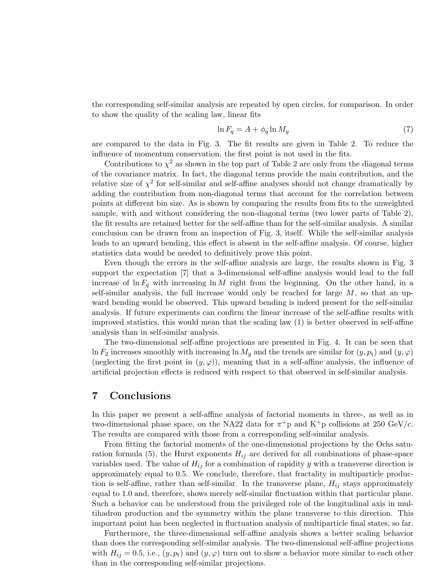the corresponding self-similar analysis are repeated by open circles, for comparison. In order to show the quality of the scaling law, linear fits

$$
\ln F_q = A + \phi_q \ln M_y \tag{7}
$$

are compared to the data in Fig. 3. The fit results are given in Table 2. To reduce the influence of momentum conservation, the first point is not used in the fits.

Contributions to  $\chi^2$  as shown in the top part of Table 2 are only from the diagonal terms of the covariance matrix. In fact, the diagonal terms provide the main contribution, and the relative size of  $\chi^2$  for self-similar and self-affine analyses should not change dramatically by adding the contribution from non-diagonal terms that account for the correlation between points at different bin size. As is shown by comparing the results from fits to the unweighted sample, with and without considering the non-diagonal terms (two lower parts of Table 2), the fit results are retained better for the self-affine than for the self-similar analysis. A similar conclusion can be drawn from an inspection of Fig. 3, itself. While the self-similar analysis leads to an upward bending, this effect is absent in the self-affine analysis. Of course, higher statistics data would be needed to definitively prove this point.

Even though the errors in the self-affine analysis are large, the results shown in Fig. 3 support the expectation [7] that a 3-dimensional self-affine analysis would lead to the full increase of  $\ln F_q$  with increasing  $\ln M$  right from the beginning. On the other hand, in a self-similar analysis, the full increase would only be reached for large  $M$ , so that an upward bending would be observed. This upward bending is indeed present for the self-similar analysis. If future experiments can confirm the linear increase of the self-affine results with improved statistics, this would mean that the scaling law (1) is better observed in self-affine analysis than in self-similar analysis.

The two-dimensional self-affine projections are presented in Fig. 4. It can be seen that ln  $F_2$  increases smoothly with increasing ln  $M_y$  and the trends are similar for  $(y, p_t)$  and  $(y, \varphi)$ (neglecting the first point in  $(y, \varphi)$ ), meaning that in a self-affine analysis, the influence of artificial projection effects is reduced with respect to that observed in self-similar analysis.

## 7 Conclusions

In this paper we present a self-affine analysis of factorial moments in three-, as well as in two-dimensional phase space, on the NA22 data for  $\pi^+$ p and K<sup>+</sup>p collisions at 250 GeV/c. The results are compared with those from a corresponding self-similar analysis.

From fitting the factorial moments of the one-dimensional projections by the Ochs saturation formula (5), the Hurst exponents  $H_{ij}$  are derived for all combinations of phase-space variables used. The value of  $H_{ij}$  for a combination of rapidity y with a transverse direction is approximately equal to 0.5. We conclude, therefore, that fractality in multiparticle production is self-affine, rather than self-similar. In the transverse plane,  $H_{ij}$  stays approximately equal to 1.0 and, therefore, shows merely self-similar fluctuation within that particular plane. Such a behavior can be understood from the privileged role of the longitudinal axis in multihadron production and the symmetry within the plane transverse to this direction. This important point has been neglected in fluctuation analysis of multiparticle final states, so far.

Furthermore, the three-dimensional self-affine analysis shows a better scaling behavior than does the corresponding self-similar analysis. The two-dimensional self-affine projections with  $H_{ij} = 0.5$ , i.e.,  $(y, p_t)$  and  $(y, \varphi)$  turn out to show a behavior more similar to each other than in the corresponding self-similar projections.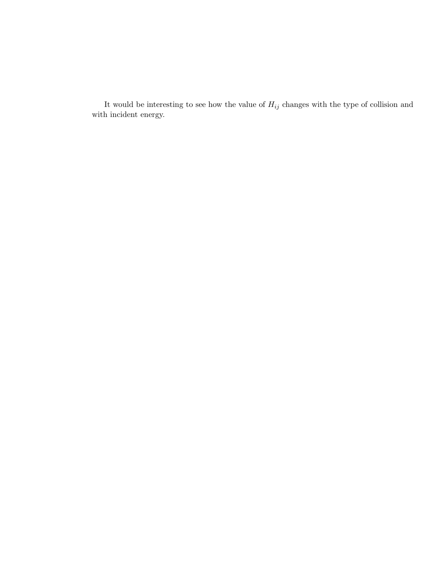It would be interesting to see how the value of  $H_{ij}$  changes with the type of collision and with incident energy.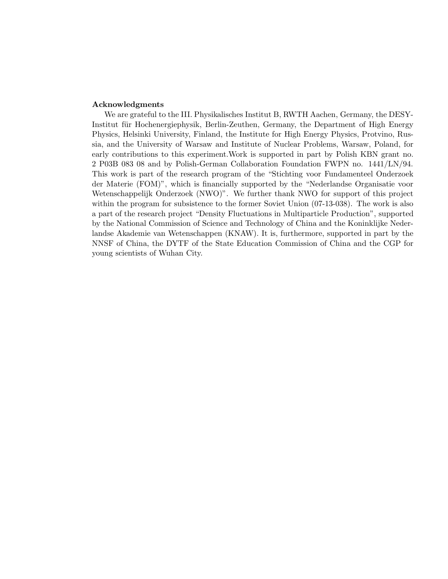#### Acknowledgments

We are grateful to the III. Physikalisches Institut B, RWTH Aachen, Germany, the DESY-Institut für Hochenergiephysik, Berlin-Zeuthen, Germany, the Department of High Energy Physics, Helsinki University, Finland, the Institute for High Energy Physics, Protvino, Russia, and the University of Warsaw and Institute of Nuclear Problems, Warsaw, Poland, for early contributions to this experiment.Work is supported in part by Polish KBN grant no. 2 P03B 083 08 and by Polish-German Collaboration Foundation FWPN no. 1441/LN/94. This work is part of the research program of the "Stichting voor Fundamenteel Onderzoek der Materie (FOM)", which is financially supported by the "Nederlandse Organisatie voor Wetenschappelijk Onderzoek (NWO)". We further thank NWO for support of this project within the program for subsistence to the former Soviet Union (07-13-038). The work is also a part of the research project "Density Fluctuations in Multiparticle Production", supported by the National Commission of Science and Technology of China and the Koninklijke Nederlandse Akademie van Wetenschappen (KNAW). It is, furthermore, supported in part by the NNSF of China, the DYTF of the State Education Commission of China and the CGP for young scientists of Wuhan City.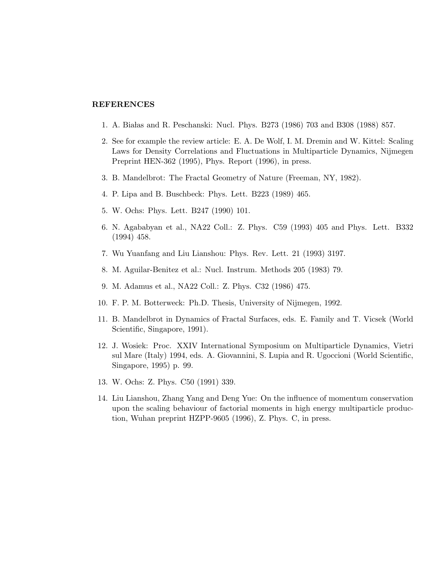#### REFERENCES

- 1. A. Białas and R. Peschanski: Nucl. Phys. B273 (1986) 703 and B308 (1988) 857.
- 2. See for example the review article: E. A. De Wolf, I. M. Dremin and W. Kittel: Scaling Laws for Density Correlations and Fluctuations in Multiparticle Dynamics, Nijmegen Preprint HEN-362 (1995), Phys. Report (1996), in press.
- 3. B. Mandelbrot: The Fractal Geometry of Nature (Freeman, NY, 1982).
- 4. P. Lipa and B. Buschbeck: Phys. Lett. B223 (1989) 465.
- 5. W. Ochs: Phys. Lett. B247 (1990) 101.
- 6. N. Agababyan et al., NA22 Coll.: Z. Phys. C59 (1993) 405 and Phys. Lett. B332 (1994) 458.
- 7. Wu Yuanfang and Liu Lianshou: Phys. Rev. Lett. 21 (1993) 3197.
- 8. M. Aguilar-Benitez et al.: Nucl. Instrum. Methods 205 (1983) 79.
- 9. M. Adamus et al., NA22 Coll.: Z. Phys. C32 (1986) 475.
- 10. F. P. M. Botterweck: Ph.D. Thesis, University of Nijmegen, 1992.
- 11. B. Mandelbrot in Dynamics of Fractal Surfaces, eds. E. Family and T. Vicsek (World Scientific, Singapore, 1991).
- 12. J. Wosiek: Proc. XXIV International Symposium on Multiparticle Dynamics, Vietri sul Mare (Italy) 1994, eds. A. Giovannini, S. Lupia and R. Ugoccioni (World Scientific, Singapore, 1995) p. 99.
- 13. W. Ochs: Z. Phys. C50 (1991) 339.
- 14. Liu Lianshou, Zhang Yang and Deng Yue: On the influence of momentum conservation upon the scaling behaviour of factorial moments in high energy multiparticle production, Wuhan preprint HZPP-9605 (1996), Z. Phys. C, in press.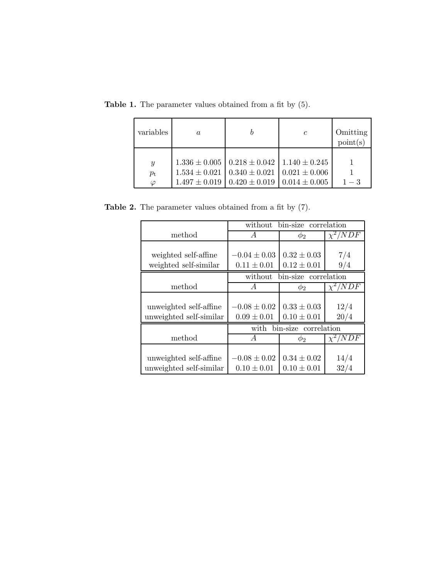| variables                                | $\boldsymbol{a}$                       |                                                                                                     | $\mathfrak c$                          | Omitting<br>point(s) |
|------------------------------------------|----------------------------------------|-----------------------------------------------------------------------------------------------------|----------------------------------------|----------------------|
| $\mathcal{Y}$<br>$p_{\rm t}$<br>$\omega$ | $1.534 \pm 0.021$<br>$1.497 \pm 0.019$ | $1.336 \pm 0.005$   $0.218 \pm 0.042$   $1.140 \pm 0.245$<br>$0.340 \pm 0.021$<br>$0.420 \pm 0.019$ | $0.021 \pm 0.006$<br>$0.014 \pm 0.005$ |                      |

Table 1. The parameter values obtained from a fit by (5).

Table 2. The parameter values obtained from a fit by (7).

|                         | bin-size correlation<br>without    |                 |              |  |
|-------------------------|------------------------------------|-----------------|--------------|--|
| method                  | A                                  | $\phi_2$        | $\chi^2/NDF$ |  |
|                         |                                    |                 |              |  |
| weighted self-affine    | $-0.04 \pm 0.03$                   | $0.32 \pm 0.03$ | 7/4          |  |
| weighted self-similar   | $0.11 \pm 0.01$                    | $0.12 \pm 0.01$ | 9/4          |  |
|                         | correlation<br>without<br>bin-size |                 |              |  |
| method                  | А                                  | $\phi_2$        | $\chi^2/NDF$ |  |
|                         |                                    |                 |              |  |
| unweighted self-affine  | $-0.08 \pm 0.02$                   | $0.33 \pm 0.03$ | 12/4         |  |
| unweighted self-similar | $0.09 \pm 0.01$                    | $0.10 \pm 0.01$ | 20/4         |  |
|                         | bin-size correlation<br>with       |                 |              |  |
| method                  | A                                  | $\phi_2$        | $\chi^2/NDF$ |  |
|                         |                                    |                 |              |  |
| unweighted self-affine  | $-0.08 \pm 0.02$                   | $0.34 \pm 0.02$ | 14/4         |  |
| unweighted self-similar | $0.10 \pm 0.01$                    | $0.10 \pm 0.01$ | 32/4         |  |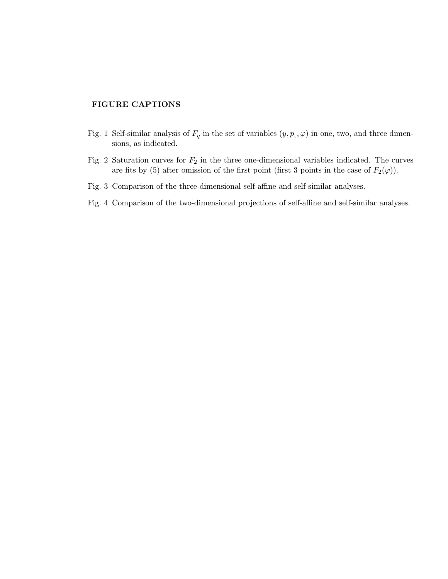#### FIGURE CAPTIONS

- Fig. 1 Self-similar analysis of  $F_q$  in the set of variables  $(y, p_t, \varphi)$  in one, two, and three dimensions, as indicated.
- Fig. 2 Saturation curves for  $F_2$  in the three one-dimensional variables indicated. The curves are fits by (5) after omission of the first point (first 3 points in the case of  $F_2(\varphi)$ ).
- Fig. 3 Comparison of the three-dimensional self-affine and self-similar analyses.
- Fig. 4 Comparison of the two-dimensional projections of self-affine and self-similar analyses.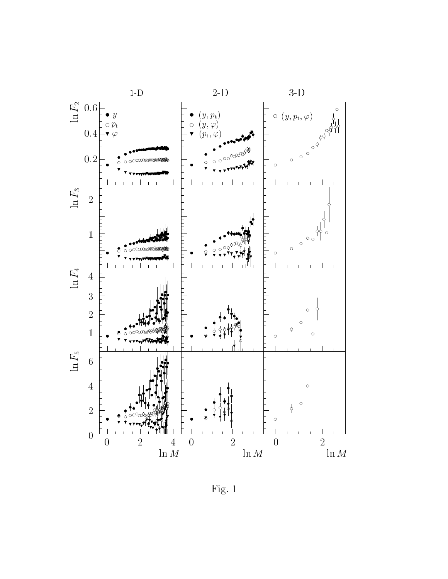

Fig. <sup>1</sup>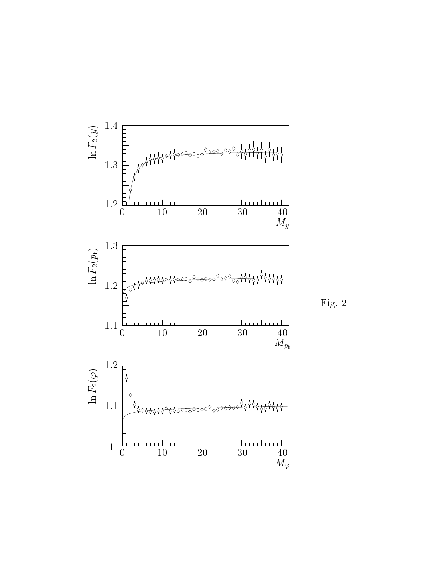

 $\sim$  2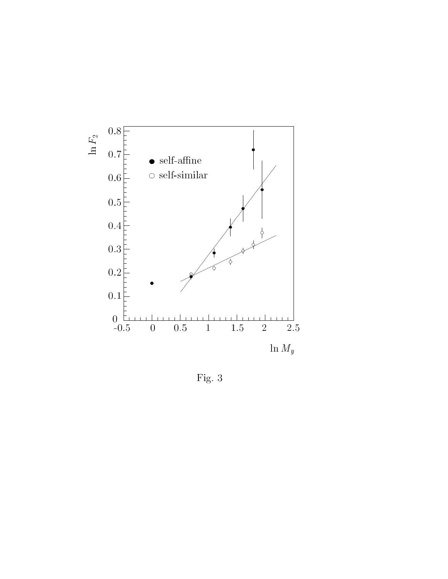

Fig. <sup>3</sup>